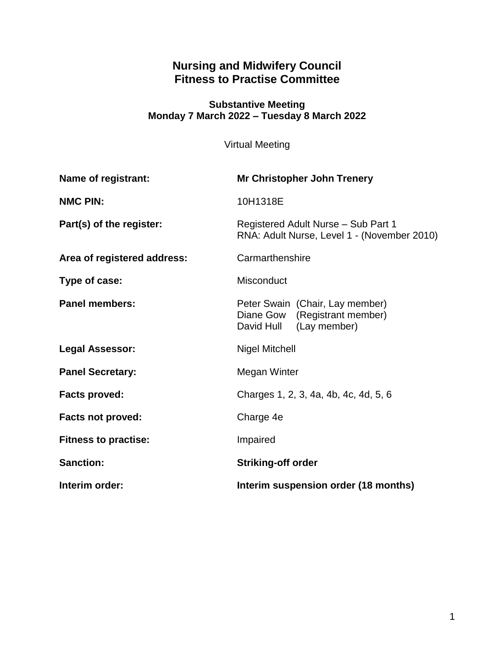# **Nursing and Midwifery Council Fitness to Practise Committee**

#### **Substantive Meeting Monday 7 March 2022 – Tuesday 8 March 2022**

Virtual Meeting

| <b>Name of registrant:</b>  | <b>Mr Christopher John Trenery</b>                                                          |
|-----------------------------|---------------------------------------------------------------------------------------------|
| <b>NMC PIN:</b>             | 10H1318E                                                                                    |
| Part(s) of the register:    | Registered Adult Nurse - Sub Part 1<br>RNA: Adult Nurse, Level 1 - (November 2010)          |
| Area of registered address: | Carmarthenshire                                                                             |
| Type of case:               | Misconduct                                                                                  |
| <b>Panel members:</b>       | Peter Swain (Chair, Lay member)<br>Diane Gow (Registrant member)<br>David Hull (Lay member) |
| <b>Legal Assessor:</b>      | <b>Nigel Mitchell</b>                                                                       |
| <b>Panel Secretary:</b>     | Megan Winter                                                                                |
| <b>Facts proved:</b>        | Charges 1, 2, 3, 4a, 4b, 4c, 4d, 5, 6                                                       |
| <b>Facts not proved:</b>    | Charge 4e                                                                                   |
| <b>Fitness to practise:</b> | Impaired                                                                                    |
| <b>Sanction:</b>            | <b>Striking-off order</b>                                                                   |
| Interim order:              | Interim suspension order (18 months)                                                        |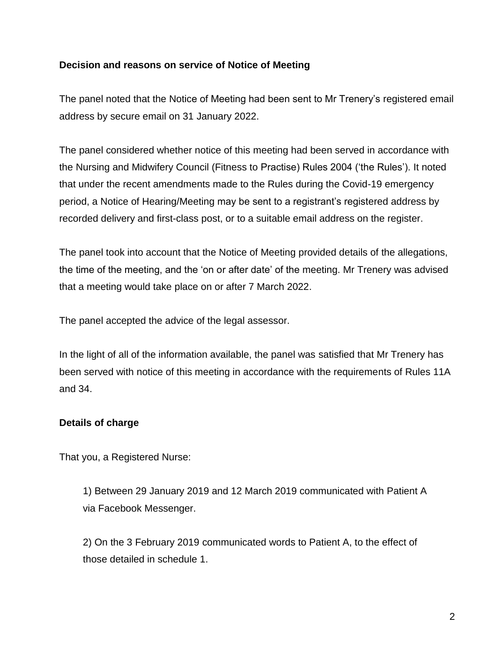### **Decision and reasons on service of Notice of Meeting**

The panel noted that the Notice of Meeting had been sent to Mr Trenery's registered email address by secure email on 31 January 2022.

The panel considered whether notice of this meeting had been served in accordance with the Nursing and Midwifery Council (Fitness to Practise) Rules 2004 ('the Rules'). It noted that under the recent amendments made to the Rules during the Covid-19 emergency period, a Notice of Hearing/Meeting may be sent to a registrant's registered address by recorded delivery and first-class post, or to a suitable email address on the register.

The panel took into account that the Notice of Meeting provided details of the allegations, the time of the meeting, and the 'on or after date' of the meeting. Mr Trenery was advised that a meeting would take place on or after 7 March 2022.

The panel accepted the advice of the legal assessor.

In the light of all of the information available, the panel was satisfied that Mr Trenery has been served with notice of this meeting in accordance with the requirements of Rules 11A and 34.

### **Details of charge**

That you, a Registered Nurse:

1) Between 29 January 2019 and 12 March 2019 communicated with Patient A via Facebook Messenger.

2) On the 3 February 2019 communicated words to Patient A, to the effect of those detailed in schedule 1.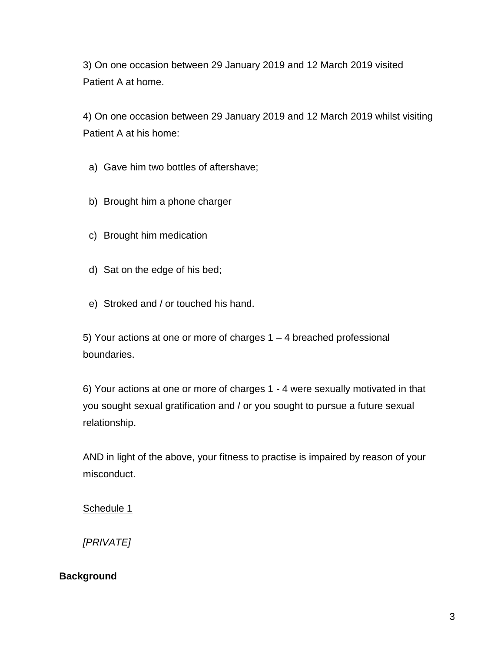3) On one occasion between 29 January 2019 and 12 March 2019 visited Patient A at home.

4) On one occasion between 29 January 2019 and 12 March 2019 whilst visiting Patient A at his home:

a) Gave him two bottles of aftershave;

- b) Brought him a phone charger
- c) Brought him medication
- d) Sat on the edge of his bed;
- e) Stroked and / or touched his hand.

5) Your actions at one or more of charges 1 – 4 breached professional boundaries.

6) Your actions at one or more of charges 1 - 4 were sexually motivated in that you sought sexual gratification and / or you sought to pursue a future sexual relationship.

AND in light of the above, your fitness to practise is impaired by reason of your misconduct.

Schedule 1

*[PRIVATE]*

#### **Background**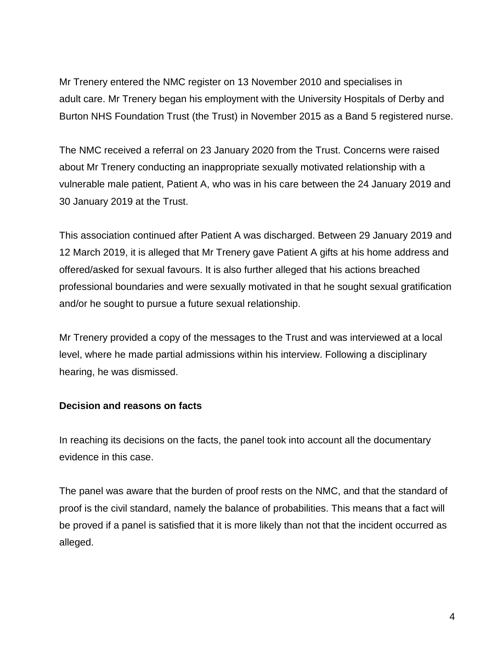Mr Trenery entered the NMC register on 13 November 2010 and specialises in adult care. Mr Trenery began his employment with the University Hospitals of Derby and Burton NHS Foundation Trust (the Trust) in November 2015 as a Band 5 registered nurse.

The NMC received a referral on 23 January 2020 from the Trust. Concerns were raised about Mr Trenery conducting an inappropriate sexually motivated relationship with a vulnerable male patient, Patient A, who was in his care between the 24 January 2019 and 30 January 2019 at the Trust.

This association continued after Patient A was discharged. Between 29 January 2019 and 12 March 2019, it is alleged that Mr Trenery gave Patient A gifts at his home address and offered/asked for sexual favours. It is also further alleged that his actions breached professional boundaries and were sexually motivated in that he sought sexual gratification and/or he sought to pursue a future sexual relationship.

Mr Trenery provided a copy of the messages to the Trust and was interviewed at a local level, where he made partial admissions within his interview. Following a disciplinary hearing, he was dismissed.

### **Decision and reasons on facts**

In reaching its decisions on the facts, the panel took into account all the documentary evidence in this case.

The panel was aware that the burden of proof rests on the NMC, and that the standard of proof is the civil standard, namely the balance of probabilities. This means that a fact will be proved if a panel is satisfied that it is more likely than not that the incident occurred as alleged.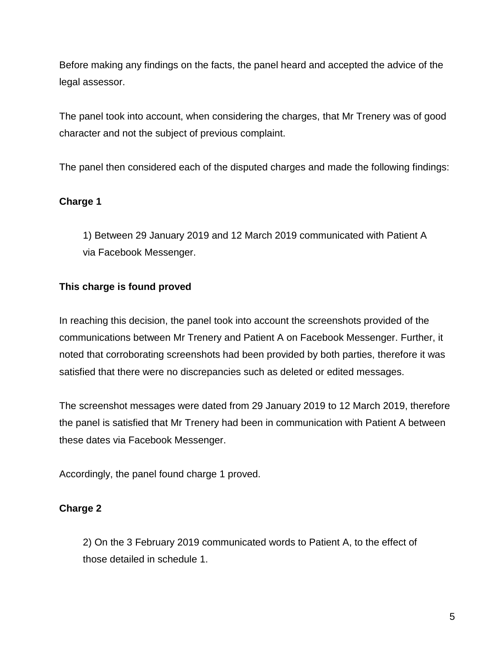Before making any findings on the facts, the panel heard and accepted the advice of the legal assessor.

The panel took into account, when considering the charges, that Mr Trenery was of good character and not the subject of previous complaint.

The panel then considered each of the disputed charges and made the following findings:

### **Charge 1**

1) Between 29 January 2019 and 12 March 2019 communicated with Patient A via Facebook Messenger.

## **This charge is found proved**

In reaching this decision, the panel took into account the screenshots provided of the communications between Mr Trenery and Patient A on Facebook Messenger. Further, it noted that corroborating screenshots had been provided by both parties, therefore it was satisfied that there were no discrepancies such as deleted or edited messages.

The screenshot messages were dated from 29 January 2019 to 12 March 2019, therefore the panel is satisfied that Mr Trenery had been in communication with Patient A between these dates via Facebook Messenger.

Accordingly, the panel found charge 1 proved.

## **Charge 2**

2) On the 3 February 2019 communicated words to Patient A, to the effect of those detailed in schedule 1.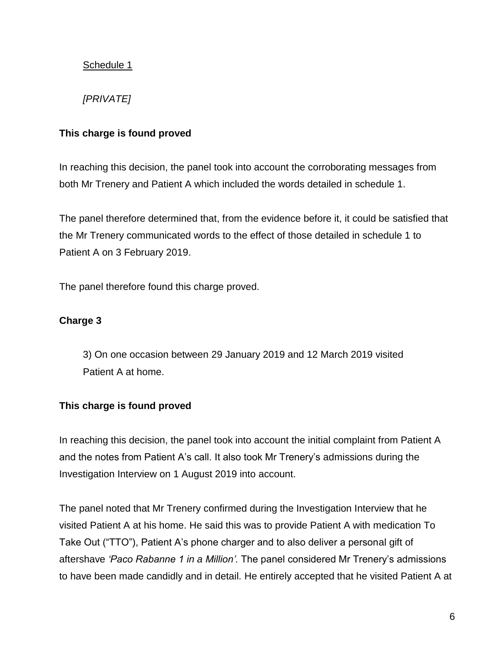## Schedule 1

## *[PRIVATE]*

### **This charge is found proved**

In reaching this decision, the panel took into account the corroborating messages from both Mr Trenery and Patient A which included the words detailed in schedule 1.

The panel therefore determined that, from the evidence before it, it could be satisfied that the Mr Trenery communicated words to the effect of those detailed in schedule 1 to Patient A on 3 February 2019.

The panel therefore found this charge proved.

## **Charge 3**

3) On one occasion between 29 January 2019 and 12 March 2019 visited Patient A at home.

## **This charge is found proved**

In reaching this decision, the panel took into account the initial complaint from Patient A and the notes from Patient A's call. It also took Mr Trenery's admissions during the Investigation Interview on 1 August 2019 into account.

The panel noted that Mr Trenery confirmed during the Investigation Interview that he visited Patient A at his home. He said this was to provide Patient A with medication To Take Out ("TTO"), Patient A's phone charger and to also deliver a personal gift of aftershave *'Paco Rabanne 1 in a Million'.* The panel considered Mr Trenery's admissions to have been made candidly and in detail. He entirely accepted that he visited Patient A at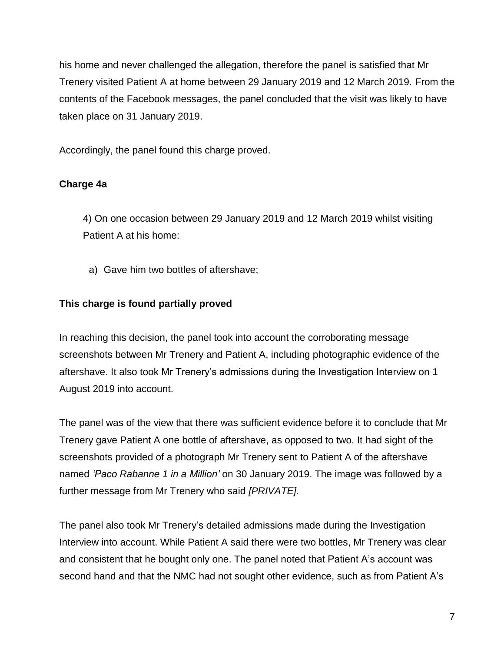his home and never challenged the allegation, therefore the panel is satisfied that Mr Trenery visited Patient A at home between 29 January 2019 and 12 March 2019. From the contents of the Facebook messages, the panel concluded that the visit was likely to have taken place on 31 January 2019.

Accordingly, the panel found this charge proved.

## **Charge 4a**

4) On one occasion between 29 January 2019 and 12 March 2019 whilst visiting Patient A at his home:

a) Gave him two bottles of aftershave;

## **This charge is found partially proved**

In reaching this decision, the panel took into account the corroborating message screenshots between Mr Trenery and Patient A, including photographic evidence of the aftershave. It also took Mr Trenery's admissions during the Investigation Interview on 1 August 2019 into account.

The panel was of the view that there was sufficient evidence before it to conclude that Mr Trenery gave Patient A one bottle of aftershave, as opposed to two. It had sight of the screenshots provided of a photograph Mr Trenery sent to Patient A of the aftershave named *'Paco Rabanne 1 in a Million'* on 30 January 2019. The image was followed by a further message from Mr Trenery who said *[PRIVATE].*

The panel also took Mr Trenery's detailed admissions made during the Investigation Interview into account. While Patient A said there were two bottles, Mr Trenery was clear and consistent that he bought only one. The panel noted that Patient A's account was second hand and that the NMC had not sought other evidence, such as from Patient A's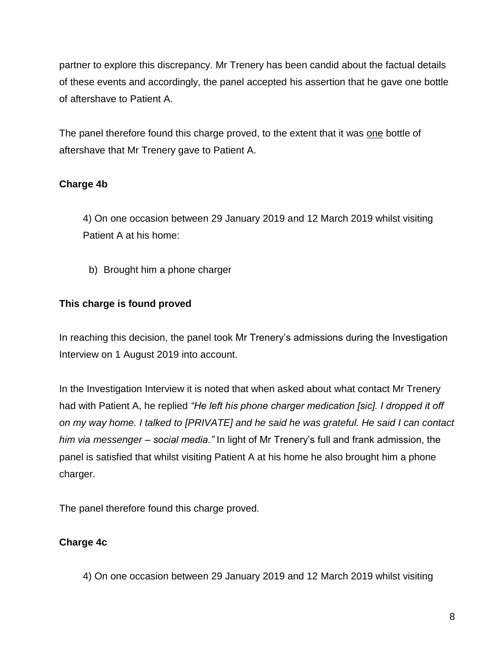partner to explore this discrepancy. Mr Trenery has been candid about the factual details of these events and accordingly, the panel accepted his assertion that he gave one bottle of aftershave to Patient A.

The panel therefore found this charge proved, to the extent that it was one bottle of aftershave that Mr Trenery gave to Patient A.

## **Charge 4b**

4) On one occasion between 29 January 2019 and 12 March 2019 whilst visiting Patient A at his home:

b) Brought him a phone charger

## **This charge is found proved**

In reaching this decision, the panel took Mr Trenery's admissions during the Investigation Interview on 1 August 2019 into account.

In the Investigation Interview it is noted that when asked about what contact Mr Trenery had with Patient A, he replied *"He left his phone charger medication [sic]. I dropped it off on my way home. I talked to [PRIVATE] and he said he was grateful. He said I can contact him via messenger – social media."* In light of Mr Trenery's full and frank admission, the panel is satisfied that whilst visiting Patient A at his home he also brought him a phone charger.

The panel therefore found this charge proved.

## **Charge 4c**

4) On one occasion between 29 January 2019 and 12 March 2019 whilst visiting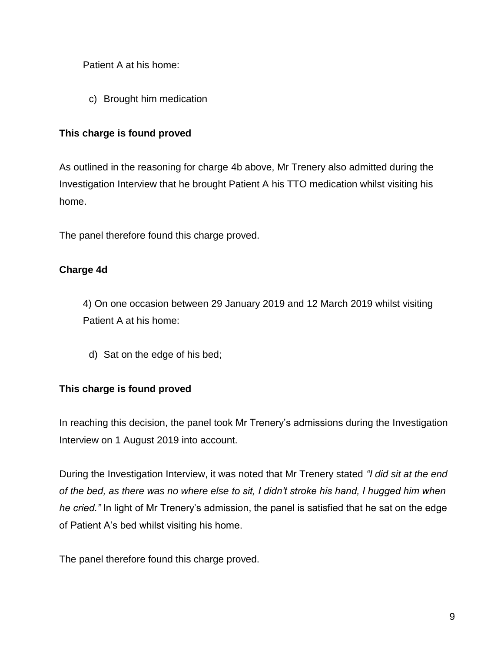Patient A at his home:

c) Brought him medication

## **This charge is found proved**

As outlined in the reasoning for charge 4b above, Mr Trenery also admitted during the Investigation Interview that he brought Patient A his TTO medication whilst visiting his home.

The panel therefore found this charge proved.

## **Charge 4d**

4) On one occasion between 29 January 2019 and 12 March 2019 whilst visiting Patient A at his home:

d) Sat on the edge of his bed;

## **This charge is found proved**

In reaching this decision, the panel took Mr Trenery's admissions during the Investigation Interview on 1 August 2019 into account.

During the Investigation Interview, it was noted that Mr Trenery stated *"I did sit at the end of the bed, as there was no where else to sit, I didn't stroke his hand, I hugged him when he cried."* In light of Mr Trenery's admission, the panel is satisfied that he sat on the edge of Patient A's bed whilst visiting his home.

The panel therefore found this charge proved.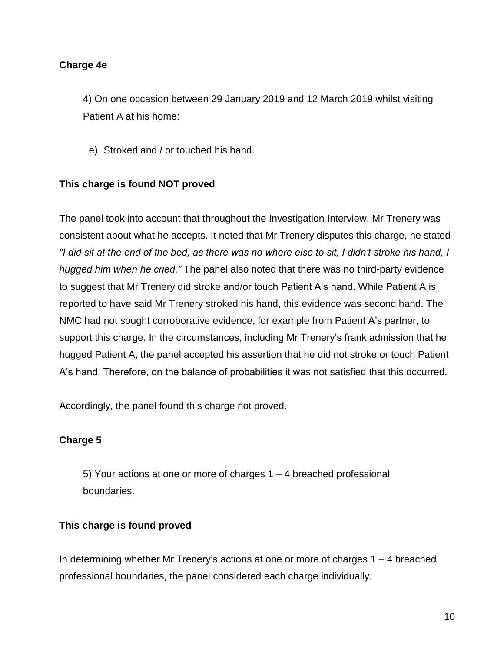#### **Charge 4e**

4) On one occasion between 29 January 2019 and 12 March 2019 whilst visiting Patient A at his home:

e) Stroked and / or touched his hand.

### **This charge is found NOT proved**

The panel took into account that throughout the Investigation Interview, Mr Trenery was consistent about what he accepts. It noted that Mr Trenery disputes this charge, he stated *"I did sit at the end of the bed, as there was no where else to sit, I didn't stroke his hand, I hugged him when he cried."* The panel also noted that there was no third-party evidence to suggest that Mr Trenery did stroke and/or touch Patient A's hand. While Patient A is reported to have said Mr Trenery stroked his hand, this evidence was second hand. The NMC had not sought corroborative evidence, for example from Patient A's partner, to support this charge. In the circumstances, including Mr Trenery's frank admission that he hugged Patient A, the panel accepted his assertion that he did not stroke or touch Patient A's hand. Therefore, on the balance of probabilities it was not satisfied that this occurred.

Accordingly, the panel found this charge not proved.

### **Charge 5**

5) Your actions at one or more of charges 1 – 4 breached professional boundaries.

#### **This charge is found proved**

In determining whether Mr Trenery's actions at one or more of charges  $1 - 4$  breached professional boundaries, the panel considered each charge individually.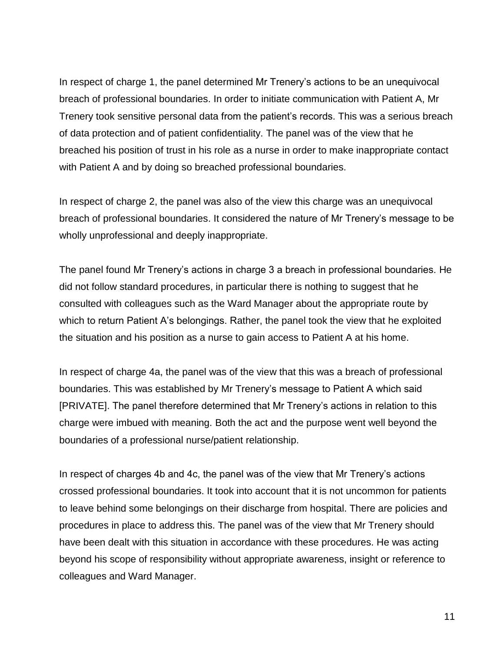In respect of charge 1, the panel determined Mr Trenery's actions to be an unequivocal breach of professional boundaries. In order to initiate communication with Patient A, Mr Trenery took sensitive personal data from the patient's records. This was a serious breach of data protection and of patient confidentiality. The panel was of the view that he breached his position of trust in his role as a nurse in order to make inappropriate contact with Patient A and by doing so breached professional boundaries.

In respect of charge 2, the panel was also of the view this charge was an unequivocal breach of professional boundaries. It considered the nature of Mr Trenery's message to be wholly unprofessional and deeply inappropriate.

The panel found Mr Trenery's actions in charge 3 a breach in professional boundaries. He did not follow standard procedures, in particular there is nothing to suggest that he consulted with colleagues such as the Ward Manager about the appropriate route by which to return Patient A's belongings. Rather, the panel took the view that he exploited the situation and his position as a nurse to gain access to Patient A at his home.

In respect of charge 4a, the panel was of the view that this was a breach of professional boundaries. This was established by Mr Trenery's message to Patient A which said [PRIVATE]. The panel therefore determined that Mr Trenery's actions in relation to this charge were imbued with meaning. Both the act and the purpose went well beyond the boundaries of a professional nurse/patient relationship.

In respect of charges 4b and 4c, the panel was of the view that Mr Trenery's actions crossed professional boundaries. It took into account that it is not uncommon for patients to leave behind some belongings on their discharge from hospital. There are policies and procedures in place to address this. The panel was of the view that Mr Trenery should have been dealt with this situation in accordance with these procedures. He was acting beyond his scope of responsibility without appropriate awareness, insight or reference to colleagues and Ward Manager.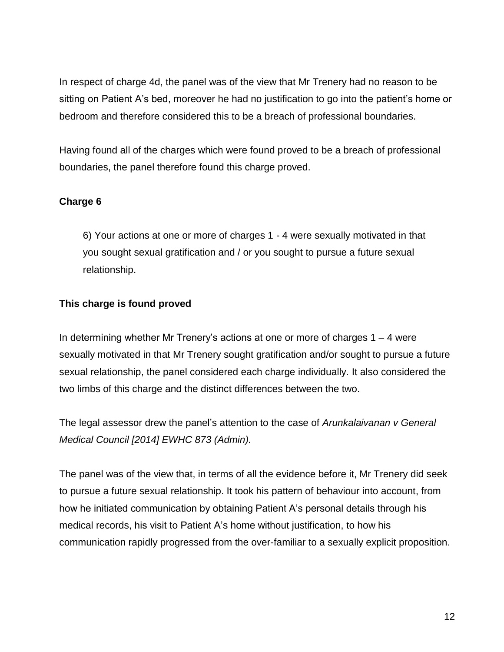In respect of charge 4d, the panel was of the view that Mr Trenery had no reason to be sitting on Patient A's bed, moreover he had no justification to go into the patient's home or bedroom and therefore considered this to be a breach of professional boundaries.

Having found all of the charges which were found proved to be a breach of professional boundaries, the panel therefore found this charge proved.

## **Charge 6**

6) Your actions at one or more of charges 1 - 4 were sexually motivated in that you sought sexual gratification and / or you sought to pursue a future sexual relationship.

### **This charge is found proved**

In determining whether Mr Trenery's actions at one or more of charges  $1 - 4$  were sexually motivated in that Mr Trenery sought gratification and/or sought to pursue a future sexual relationship, the panel considered each charge individually. It also considered the two limbs of this charge and the distinct differences between the two.

The legal assessor drew the panel's attention to the case of *Arunkalaivanan v General Medical Council [2014] EWHC 873 (Admin).*

The panel was of the view that, in terms of all the evidence before it, Mr Trenery did seek to pursue a future sexual relationship. It took his pattern of behaviour into account, from how he initiated communication by obtaining Patient A's personal details through his medical records, his visit to Patient A's home without justification, to how his communication rapidly progressed from the over-familiar to a sexually explicit proposition.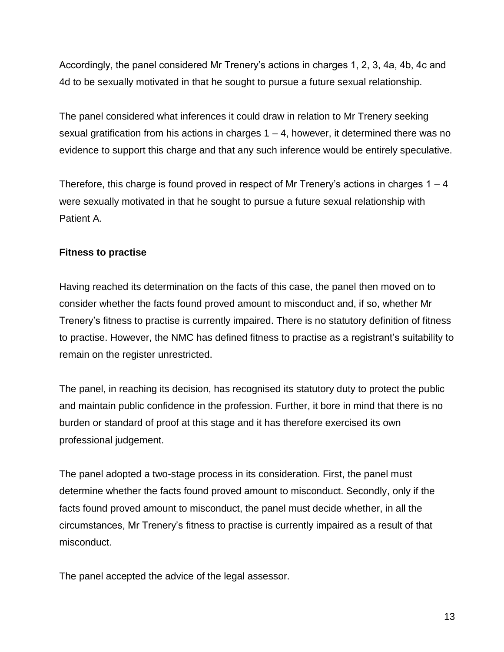Accordingly, the panel considered Mr Trenery's actions in charges 1, 2, 3, 4a, 4b, 4c and 4d to be sexually motivated in that he sought to pursue a future sexual relationship.

The panel considered what inferences it could draw in relation to Mr Trenery seeking sexual gratification from his actions in charges  $1 - 4$ , however, it determined there was no evidence to support this charge and that any such inference would be entirely speculative.

Therefore, this charge is found proved in respect of Mr Trenery's actions in charges  $1 - 4$ were sexually motivated in that he sought to pursue a future sexual relationship with Patient A.

## **Fitness to practise**

Having reached its determination on the facts of this case, the panel then moved on to consider whether the facts found proved amount to misconduct and, if so, whether Mr Trenery's fitness to practise is currently impaired. There is no statutory definition of fitness to practise. However, the NMC has defined fitness to practise as a registrant's suitability to remain on the register unrestricted.

The panel, in reaching its decision, has recognised its statutory duty to protect the public and maintain public confidence in the profession. Further, it bore in mind that there is no burden or standard of proof at this stage and it has therefore exercised its own professional judgement.

The panel adopted a two-stage process in its consideration. First, the panel must determine whether the facts found proved amount to misconduct. Secondly, only if the facts found proved amount to misconduct, the panel must decide whether, in all the circumstances, Mr Trenery's fitness to practise is currently impaired as a result of that misconduct.

The panel accepted the advice of the legal assessor.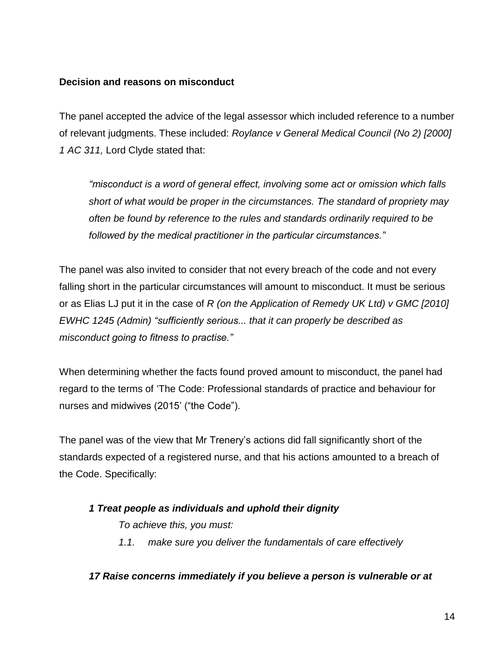#### **Decision and reasons on misconduct**

The panel accepted the advice of the legal assessor which included reference to a number of relevant judgments. These included: *Roylance v General Medical Council (No 2) [2000] 1 AC 311,* Lord Clyde stated that:

*"misconduct is a word of general effect, involving some act or omission which falls short of what would be proper in the circumstances. The standard of propriety may often be found by reference to the rules and standards ordinarily required to be followed by the medical practitioner in the particular circumstances."*

The panel was also invited to consider that not every breach of the code and not every falling short in the particular circumstances will amount to misconduct. It must be serious or as Elias LJ put it in the case of *R (on the Application of Remedy UK Ltd) v GMC [2010] EWHC 1245 (Admin) "sufficiently serious... that it can properly be described as misconduct going to fitness to practise."*

When determining whether the facts found proved amount to misconduct, the panel had regard to the terms of 'The Code: Professional standards of practice and behaviour for nurses and midwives (2015' ("the Code").

The panel was of the view that Mr Trenery's actions did fall significantly short of the standards expected of a registered nurse, and that his actions amounted to a breach of the Code. Specifically:

### *1 Treat people as individuals and uphold their dignity*

*To achieve this, you must:*

*1.1. make sure you deliver the fundamentals of care effectively*

#### *17 Raise concerns immediately if you believe a person is vulnerable or at*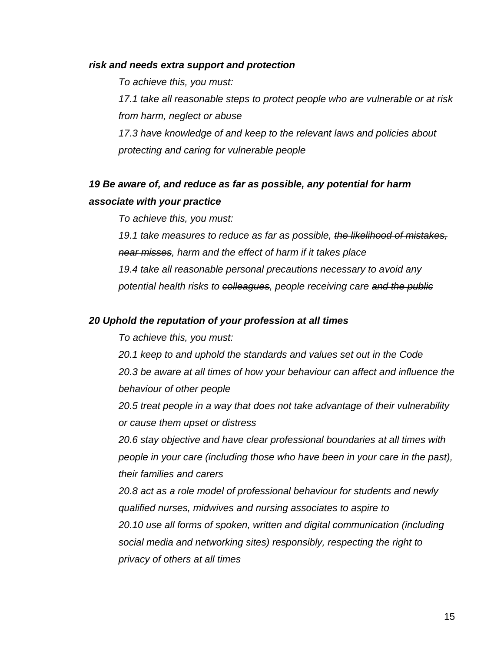#### *risk and needs extra support and protection*

*To achieve this, you must:*

*17.1 take all reasonable steps to protect people who are vulnerable or at risk from harm, neglect or abuse*

*17.3 have knowledge of and keep to the relevant laws and policies about protecting and caring for vulnerable people*

## *19 Be aware of, and reduce as far as possible, any potential for harm associate with your practice*

*To achieve this, you must:*

*19.1 take measures to reduce as far as possible, the likelihood of mistakes, near misses, harm and the effect of harm if it takes place 19.4 take all reasonable personal precautions necessary to avoid any potential health risks to colleagues, people receiving care and the public*

#### *20 Uphold the reputation of your profession at all times*

*To achieve this, you must:*

*20.1 keep to and uphold the standards and values set out in the Code 20.3 be aware at all times of how your behaviour can affect and influence the behaviour of other people*

*20.5 treat people in a way that does not take advantage of their vulnerability or cause them upset or distress*

*20.6 stay objective and have clear professional boundaries at all times with people in your care (including those who have been in your care in the past), their families and carers*

*20.8 act as a role model of professional behaviour for students and newly qualified nurses, midwives and nursing associates to aspire to 20.10 use all forms of spoken, written and digital communication (including social media and networking sites) responsibly, respecting the right to privacy of others at all times*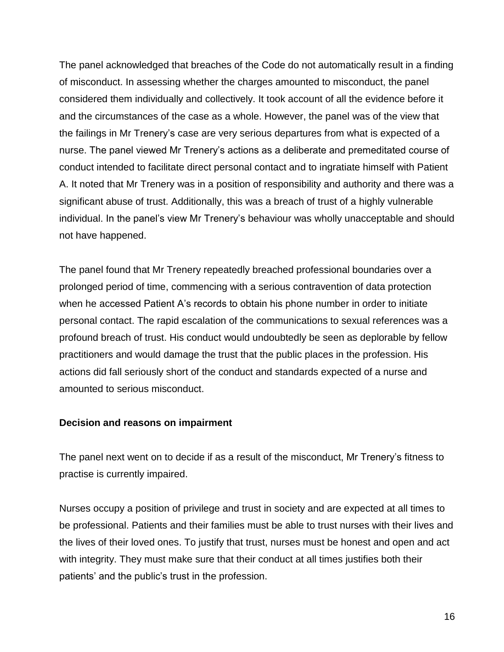The panel acknowledged that breaches of the Code do not automatically result in a finding of misconduct. In assessing whether the charges amounted to misconduct, the panel considered them individually and collectively. It took account of all the evidence before it and the circumstances of the case as a whole. However, the panel was of the view that the failings in Mr Trenery's case are very serious departures from what is expected of a nurse. The panel viewed Mr Trenery's actions as a deliberate and premeditated course of conduct intended to facilitate direct personal contact and to ingratiate himself with Patient A. It noted that Mr Trenery was in a position of responsibility and authority and there was a significant abuse of trust. Additionally, this was a breach of trust of a highly vulnerable individual. In the panel's view Mr Trenery's behaviour was wholly unacceptable and should not have happened.

The panel found that Mr Trenery repeatedly breached professional boundaries over a prolonged period of time, commencing with a serious contravention of data protection when he accessed Patient A's records to obtain his phone number in order to initiate personal contact. The rapid escalation of the communications to sexual references was a profound breach of trust. His conduct would undoubtedly be seen as deplorable by fellow practitioners and would damage the trust that the public places in the profession. His actions did fall seriously short of the conduct and standards expected of a nurse and amounted to serious misconduct.

#### **Decision and reasons on impairment**

The panel next went on to decide if as a result of the misconduct, Mr Trenery's fitness to practise is currently impaired.

Nurses occupy a position of privilege and trust in society and are expected at all times to be professional. Patients and their families must be able to trust nurses with their lives and the lives of their loved ones. To justify that trust, nurses must be honest and open and act with integrity. They must make sure that their conduct at all times justifies both their patients' and the public's trust in the profession.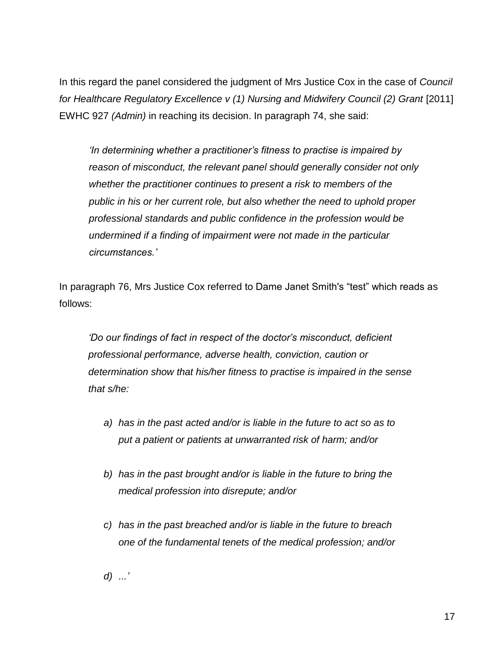In this regard the panel considered the judgment of Mrs Justice Cox in the case of *Council for Healthcare Regulatory Excellence v (1) Nursing and Midwifery Council (2) Grant [2011]* EWHC 927 *(Admin)* in reaching its decision. In paragraph 74, she said:

*'In determining whether a practitioner's fitness to practise is impaired by reason of misconduct, the relevant panel should generally consider not only whether the practitioner continues to present a risk to members of the public in his or her current role, but also whether the need to uphold proper professional standards and public confidence in the profession would be undermined if a finding of impairment were not made in the particular circumstances.'*

In paragraph 76, Mrs Justice Cox referred to Dame Janet Smith's "test" which reads as follows:

*'Do our findings of fact in respect of the doctor's misconduct, deficient professional performance, adverse health, conviction, caution or determination show that his/her fitness to practise is impaired in the sense that s/he:*

- *a) has in the past acted and/or is liable in the future to act so as to put a patient or patients at unwarranted risk of harm; and/or*
- *b) has in the past brought and/or is liable in the future to bring the medical profession into disrepute; and/or*
- *c) has in the past breached and/or is liable in the future to breach one of the fundamental tenets of the medical profession; and/or*

*d) ...'*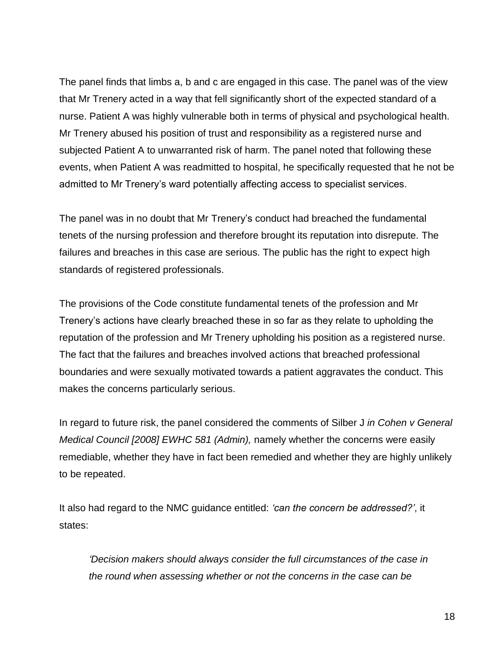The panel finds that limbs a, b and c are engaged in this case. The panel was of the view that Mr Trenery acted in a way that fell significantly short of the expected standard of a nurse. Patient A was highly vulnerable both in terms of physical and psychological health. Mr Trenery abused his position of trust and responsibility as a registered nurse and subjected Patient A to unwarranted risk of harm. The panel noted that following these events, when Patient A was readmitted to hospital, he specifically requested that he not be admitted to Mr Trenery's ward potentially affecting access to specialist services.

The panel was in no doubt that Mr Trenery's conduct had breached the fundamental tenets of the nursing profession and therefore brought its reputation into disrepute. The failures and breaches in this case are serious. The public has the right to expect high standards of registered professionals.

The provisions of the Code constitute fundamental tenets of the profession and Mr Trenery's actions have clearly breached these in so far as they relate to upholding the reputation of the profession and Mr Trenery upholding his position as a registered nurse. The fact that the failures and breaches involved actions that breached professional boundaries and were sexually motivated towards a patient aggravates the conduct. This makes the concerns particularly serious.

In regard to future risk, the panel considered the comments of Silber J *in Cohen v General Medical Council [2008] EWHC 581 (Admin),* namely whether the concerns were easily remediable, whether they have in fact been remedied and whether they are highly unlikely to be repeated.

It also had regard to the NMC guidance entitled: *'can the concern be addressed?'*, it states:

*'Decision makers should always consider the full circumstances of the case in the round when assessing whether or not the concerns in the case can be*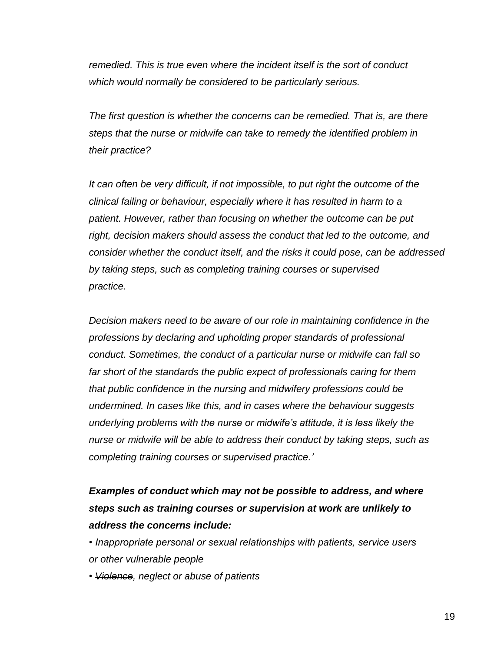*remedied. This is true even where the incident itself is the sort of conduct which would normally be considered to be particularly serious.*

*The first question is whether the concerns can be remedied. That is, are there steps that the nurse or midwife can take to remedy the identified problem in their practice?*

*It can often be very difficult, if not impossible, to put right the outcome of the clinical failing or behaviour, especially where it has resulted in harm to a patient. However, rather than focusing on whether the outcome can be put right, decision makers should assess the conduct that led to the outcome, and consider whether the conduct itself, and the risks it could pose, can be addressed by taking steps, such as completing training courses or supervised practice.*

*Decision makers need to be aware of our role in maintaining confidence in the professions by declaring and upholding proper standards of professional conduct. Sometimes, the conduct of a particular nurse or midwife can fall so far short of the standards the public expect of professionals caring for them that public confidence in the nursing and midwifery professions could be undermined. In cases like this, and in cases where the behaviour suggests underlying problems with the nurse or midwife's attitude, it is less likely the nurse or midwife will be able to address their conduct by taking steps, such as completing training courses or supervised practice.'*

# *Examples of conduct which may not be possible to address, and where steps such as training courses or supervision at work are unlikely to address the concerns include:*

*• Inappropriate personal or sexual relationships with patients, service users or other vulnerable people*

*• Violence, neglect or abuse of patients*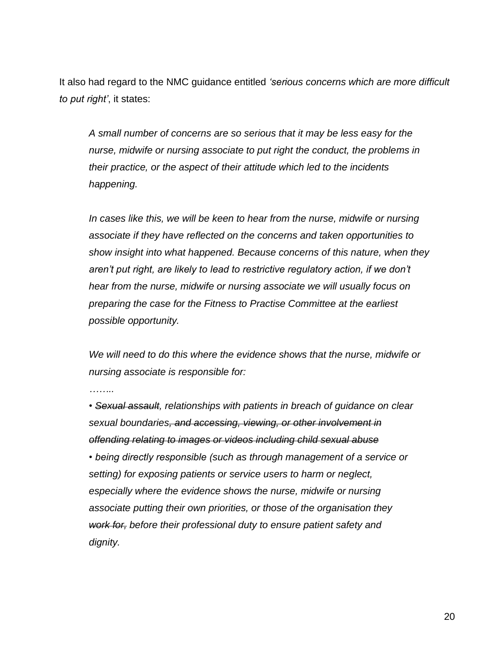It also had regard to the NMC guidance entitled *'serious concerns which are more difficult to put right'*, it states:

*A small number of concerns are so serious that it may be less easy for the nurse, midwife or nursing associate to put right the conduct, the problems in their practice, or the aspect of their attitude which led to the incidents happening.*

*In cases like this, we will be keen to hear from the nurse, midwife or nursing associate if they have reflected on the concerns and taken opportunities to show insight into what happened. Because concerns of this nature, when they aren't put right, are likely to lead to restrictive regulatory action, if we don't hear from the nurse, midwife or nursing associate we will usually focus on preparing the case for the Fitness to Practise Committee at the earliest possible opportunity.*

*We will need to do this where the evidence shows that the nurse, midwife or nursing associate is responsible for:*

*……..*

*• Sexual assault, relationships with patients in breach of guidance on clear sexual boundaries, and accessing, viewing, or other involvement in offending relating to images or videos including child sexual abuse*

*• being directly responsible (such as through management of a service or setting) for exposing patients or service users to harm or neglect, especially where the evidence shows the nurse, midwife or nursing associate putting their own priorities, or those of the organisation they work for, before their professional duty to ensure patient safety and dignity.*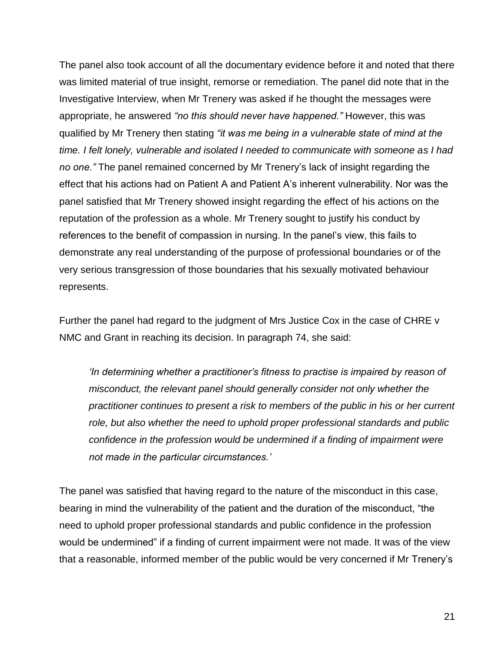The panel also took account of all the documentary evidence before it and noted that there was limited material of true insight, remorse or remediation. The panel did note that in the Investigative Interview, when Mr Trenery was asked if he thought the messages were appropriate, he answered *"no this should never have happened."* However, this was qualified by Mr Trenery then stating *"it was me being in a vulnerable state of mind at the time. I felt lonely, vulnerable and isolated I needed to communicate with someone as I had no one."* The panel remained concerned by Mr Trenery's lack of insight regarding the effect that his actions had on Patient A and Patient A's inherent vulnerability. Nor was the panel satisfied that Mr Trenery showed insight regarding the effect of his actions on the reputation of the profession as a whole. Mr Trenery sought to justify his conduct by references to the benefit of compassion in nursing. In the panel's view, this fails to demonstrate any real understanding of the purpose of professional boundaries or of the very serious transgression of those boundaries that his sexually motivated behaviour represents.

Further the panel had regard to the judgment of Mrs Justice Cox in the case of CHRE v NMC and Grant in reaching its decision. In paragraph 74, she said:

*'In determining whether a practitioner's fitness to practise is impaired by reason of misconduct, the relevant panel should generally consider not only whether the practitioner continues to present a risk to members of the public in his or her current role, but also whether the need to uphold proper professional standards and public confidence in the profession would be undermined if a finding of impairment were not made in the particular circumstances.'*

The panel was satisfied that having regard to the nature of the misconduct in this case, bearing in mind the vulnerability of the patient and the duration of the misconduct, "the need to uphold proper professional standards and public confidence in the profession would be undermined" if a finding of current impairment were not made. It was of the view that a reasonable, informed member of the public would be very concerned if Mr Trenery's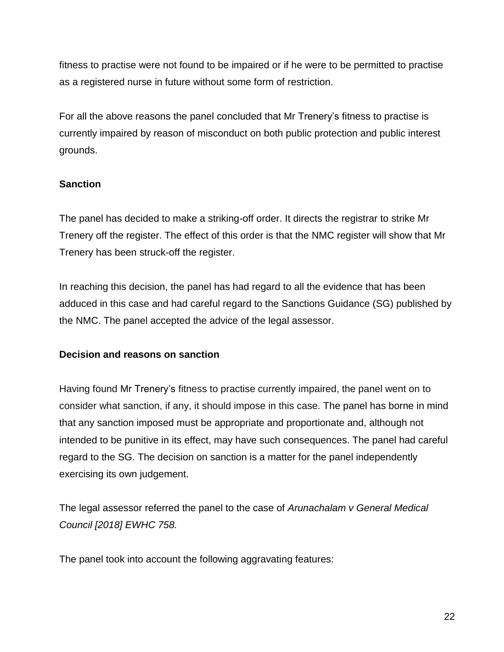fitness to practise were not found to be impaired or if he were to be permitted to practise as a registered nurse in future without some form of restriction.

For all the above reasons the panel concluded that Mr Trenery's fitness to practise is currently impaired by reason of misconduct on both public protection and public interest grounds.

## **Sanction**

The panel has decided to make a striking-off order. It directs the registrar to strike Mr Trenery off the register. The effect of this order is that the NMC register will show that Mr Trenery has been struck-off the register.

In reaching this decision, the panel has had regard to all the evidence that has been adduced in this case and had careful regard to the Sanctions Guidance (SG) published by the NMC. The panel accepted the advice of the legal assessor.

### **Decision and reasons on sanction**

Having found Mr Trenery's fitness to practise currently impaired, the panel went on to consider what sanction, if any, it should impose in this case. The panel has borne in mind that any sanction imposed must be appropriate and proportionate and, although not intended to be punitive in its effect, may have such consequences. The panel had careful regard to the SG. The decision on sanction is a matter for the panel independently exercising its own judgement.

The legal assessor referred the panel to the case of *Arunachalam v General Medical Council [2018] EWHC 758.*

The panel took into account the following aggravating features: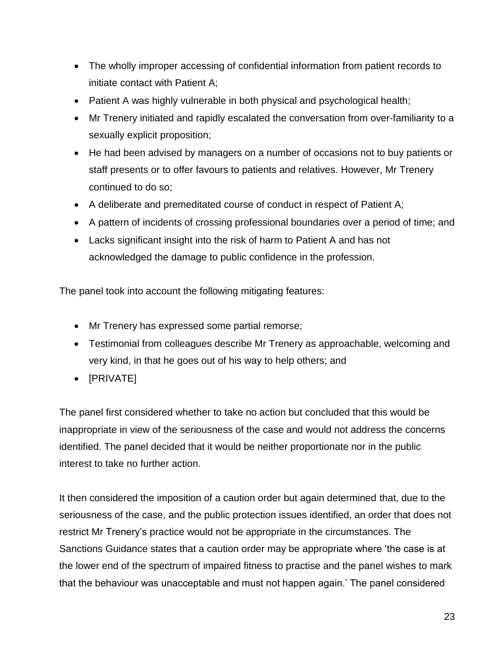- The wholly improper accessing of confidential information from patient records to initiate contact with Patient A;
- Patient A was highly vulnerable in both physical and psychological health;
- Mr Trenery initiated and rapidly escalated the conversation from over-familiarity to a sexually explicit proposition;
- He had been advised by managers on a number of occasions not to buy patients or staff presents or to offer favours to patients and relatives. However, Mr Trenery continued to do so;
- A deliberate and premeditated course of conduct in respect of Patient A;
- A pattern of incidents of crossing professional boundaries over a period of time; and
- Lacks significant insight into the risk of harm to Patient A and has not acknowledged the damage to public confidence in the profession.

The panel took into account the following mitigating features:

- Mr Trenery has expressed some partial remorse;
- Testimonial from colleagues describe Mr Trenery as approachable, welcoming and very kind, in that he goes out of his way to help others; and
- [PRIVATE]

The panel first considered whether to take no action but concluded that this would be inappropriate in view of the seriousness of the case and would not address the concerns identified. The panel decided that it would be neither proportionate nor in the public interest to take no further action.

It then considered the imposition of a caution order but again determined that, due to the seriousness of the case, and the public protection issues identified, an order that does not restrict Mr Trenery's practice would not be appropriate in the circumstances. The Sanctions Guidance states that a caution order may be appropriate where 'the case is at the lower end of the spectrum of impaired fitness to practise and the panel wishes to mark that the behaviour was unacceptable and must not happen again.' The panel considered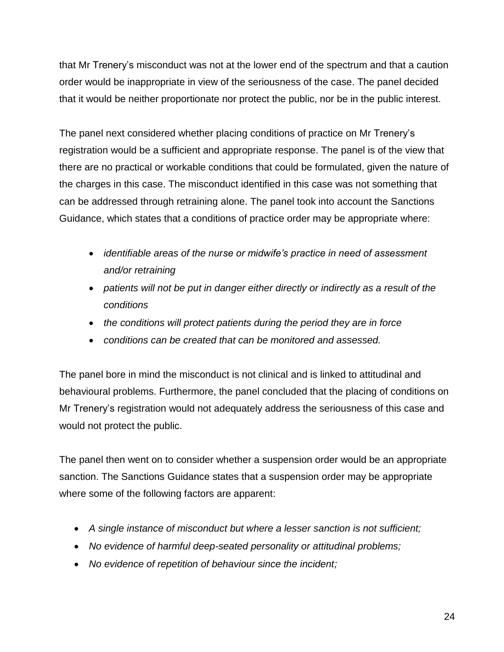that Mr Trenery's misconduct was not at the lower end of the spectrum and that a caution order would be inappropriate in view of the seriousness of the case. The panel decided that it would be neither proportionate nor protect the public, nor be in the public interest.

The panel next considered whether placing conditions of practice on Mr Trenery's registration would be a sufficient and appropriate response. The panel is of the view that there are no practical or workable conditions that could be formulated, given the nature of the charges in this case. The misconduct identified in this case was not something that can be addressed through retraining alone. The panel took into account the Sanctions Guidance, which states that a conditions of practice order may be appropriate where:

- *identifiable areas of the nurse or midwife's practice in need of assessment and/or retraining*
- *patients will not be put in danger either directly or indirectly as a result of the conditions*
- *the conditions will protect patients during the period they are in force*
- *conditions can be created that can be monitored and assessed.*

The panel bore in mind the misconduct is not clinical and is linked to attitudinal and behavioural problems. Furthermore, the panel concluded that the placing of conditions on Mr Trenery's registration would not adequately address the seriousness of this case and would not protect the public.

The panel then went on to consider whether a suspension order would be an appropriate sanction. The Sanctions Guidance states that a suspension order may be appropriate where some of the following factors are apparent:

- *A single instance of misconduct but where a lesser sanction is not sufficient;*
- *No evidence of harmful deep-seated personality or attitudinal problems;*
- *No evidence of repetition of behaviour since the incident;*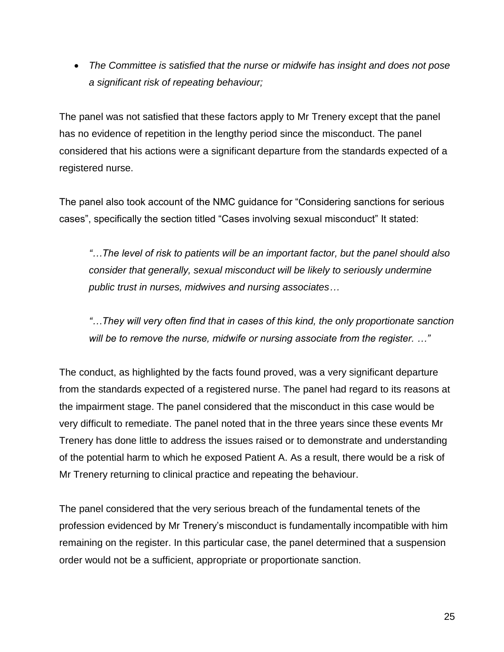*The Committee is satisfied that the nurse or midwife has insight and does not pose a significant risk of repeating behaviour;*

The panel was not satisfied that these factors apply to Mr Trenery except that the panel has no evidence of repetition in the lengthy period since the misconduct. The panel considered that his actions were a significant departure from the standards expected of a registered nurse.

The panel also took account of the NMC guidance for "Considering sanctions for serious cases", specifically the section titled "Cases involving sexual misconduct" It stated:

*"…The level of risk to patients will be an important factor, but the panel should also consider that generally, sexual misconduct will be likely to seriously undermine public trust in nurses, midwives and nursing associates…* 

*"…They will very often find that in cases of this kind, the only proportionate sanction will be to remove the nurse, midwife or nursing associate from the register. …"*

The conduct, as highlighted by the facts found proved, was a very significant departure from the standards expected of a registered nurse. The panel had regard to its reasons at the impairment stage. The panel considered that the misconduct in this case would be very difficult to remediate. The panel noted that in the three years since these events Mr Trenery has done little to address the issues raised or to demonstrate and understanding of the potential harm to which he exposed Patient A. As a result, there would be a risk of Mr Trenery returning to clinical practice and repeating the behaviour.

The panel considered that the very serious breach of the fundamental tenets of the profession evidenced by Mr Trenery's misconduct is fundamentally incompatible with him remaining on the register. In this particular case, the panel determined that a suspension order would not be a sufficient, appropriate or proportionate sanction.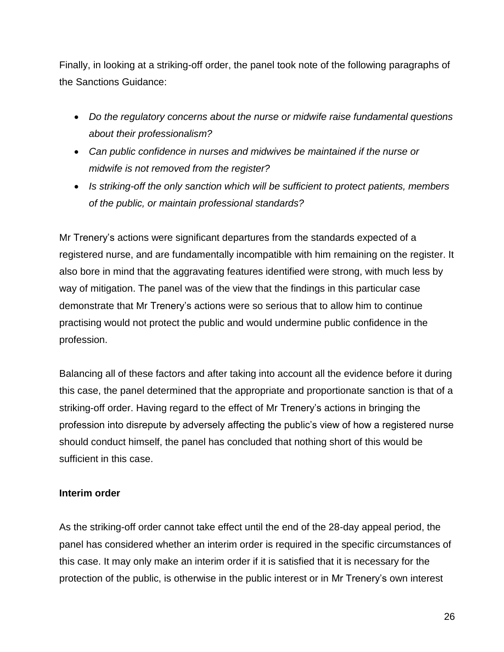Finally, in looking at a striking-off order, the panel took note of the following paragraphs of the Sanctions Guidance:

- *Do the regulatory concerns about the nurse or midwife raise fundamental questions about their professionalism?*
- *Can public confidence in nurses and midwives be maintained if the nurse or midwife is not removed from the register?*
- *Is striking-off the only sanction which will be sufficient to protect patients, members of the public, or maintain professional standards?*

Mr Trenery's actions were significant departures from the standards expected of a registered nurse, and are fundamentally incompatible with him remaining on the register. It also bore in mind that the aggravating features identified were strong, with much less by way of mitigation. The panel was of the view that the findings in this particular case demonstrate that Mr Trenery's actions were so serious that to allow him to continue practising would not protect the public and would undermine public confidence in the profession.

Balancing all of these factors and after taking into account all the evidence before it during this case, the panel determined that the appropriate and proportionate sanction is that of a striking-off order. Having regard to the effect of Mr Trenery's actions in bringing the profession into disrepute by adversely affecting the public's view of how a registered nurse should conduct himself, the panel has concluded that nothing short of this would be sufficient in this case.

### **Interim order**

As the striking-off order cannot take effect until the end of the 28-day appeal period, the panel has considered whether an interim order is required in the specific circumstances of this case. It may only make an interim order if it is satisfied that it is necessary for the protection of the public, is otherwise in the public interest or in Mr Trenery's own interest